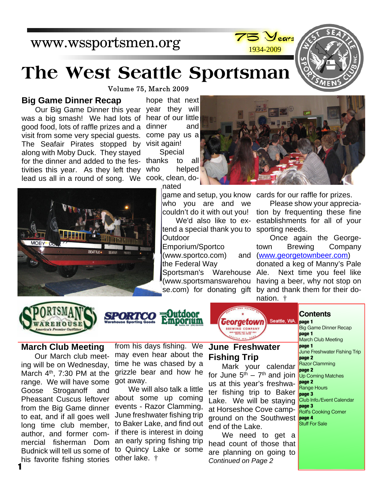# www.wssportsmen.org





# **The West Seattle Sportsman**

Volume 75, March 2009

#### **Big Game Dinner Recap**

for the dinner and added to the fes- thanks to all lead us all in a round of song. We cook, clean, do-Our Big Game Dinner this year was a big smash! We had lots of good food, lots of raffle prizes and a visit from some very special guests. The Seafair Pirates stopped by along with Moby Duck. They stayed tivities this year. As they left they

year they will hear of our little dinner and come pay us a visit again! Special

> helped nated

> > who you are and we couldn't do it with out you!

tend a special thank you to Outdoor

Emporium/Sportco (www.sportco.com)

Sportsman's Warehouse Ale. (www.sportsmanswarehou



game and setup, you know cards for our raffle for prizes.

Please show your appreciation by frequenting these fine establishments for all of your sporting needs.

Once again the Georgetown Brewing Company (www.georgetownbeer.com)

se.com) for donating gift by and thank them for their dodonated a keg of Manny's Pale Next time you feel like having a beer, why not stop on nation. †



**MORV** 

# Dutdoor Pinporium



#### **Contents**

**page 1**

Big Game Dinner Recap **page 1** March Club Meeting **page 1** June Freshwater Fishing Trip **page 2** Razor Clamming **page 2** Up Coming Matches **page 2** Range Hours **page 3** Club Info./Event Calendar **page 3** Rolf's Cooking Corner Stuff For Sale

#### **March Club Meeting**

Our March club meeting will be on Wednesday, March  $4<sup>th</sup>$ , 7:30 PM at the range. We will have some got away. Goose Stroganoff and Pheasant Cuscus leftover from the Big Game dinner to eat, and if all goes well long time club member, author, and former commercial fisherman Dom Budnick will tell us some of his favorite fishing stories **1**

from his days fishing. We may even hear about the time he was chased by a grizzle bear and how he

We will also talk a little about some up coming events - Razor Clamming, June freshwater fishing trip to Baker Lake, and find out if there is interest in doing an early spring fishing trip to Quincy Lake or some other lake. †

## **[June Freshwater](http://www.georgetownbeer.com) Fishing Trip**

Mark your calendar for June  $5<sup>th</sup> - 7<sup>th</sup>$  and join us at this year's freshwater fishing trip to Baker Lake. We will be staying at Horseshoe Cove campground on the Southwest **page 4** end of the Lake.

We need to get a head count of those that are planning on going to *Continued on Page 2*

We'd also like to ex-

the Federal Way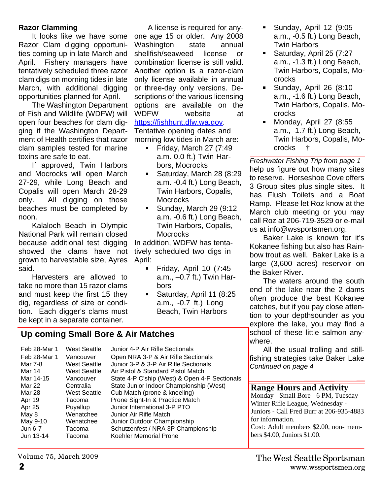#### **Razor Clamming**

It looks like we have some Razor Clam digging opportunities coming up in late March and April. Fishery managers have tentatively scheduled three razor clam digs on morning tides in late March, with additional digging opportunities planned for April.

The Washington Department of Fish and Wildlife (WDFW) will open four beaches for clam digging if the Washington Department of Health certifies that razor clam samples tested for marine toxins are safe to eat.

If approved, Twin Harbors and Mocrocks will open March 27-29, while Long Beach and Copalis will open March 28-29 only. All digging on those beaches must be completed by noon.

Kalaloch Beach in Olympic National Park will remain closed because additional test digging showed the clams have not grown to harvestable size, Ayres said.

Harvesters are allowed to take no more than 15 razor clams and must keep the first 15 they dig, regardless of size or condition. Each digger's clams must be kept in a separate container.

A license is required for anyone age 15 or older. Any 2008 Washington state annual shellfish/seaweed license or combination license is still valid. Another option is a razor-clam only license available in annual or three-day only versions. Descriptions of the various licensing options are available on the WDFW website at https://fishhunt.dfw.wa.gov. Tentative opening dates and morning low tides in March are:

- Friday, March 27  $(7:49)$ a.m. 0.0 ft.) Twin Harbors, Mocrocks
- $\blacksquare$  . Saturday, March 28 (8:29 a.m. -0.4 ft.) Long Beach, Twin Harbors, Copalis, **Mocrocks**
- Sunday, March 29 (9:12  $\blacksquare$ a.m. -0.6 ft.) Long Beach, Twin Harbors, Copalis, **Mocrocks**

In addition, WDFW has tentatively scheduled two digs in April:

- Friday, April 10 (7:45 a.m., –0.7 ft.) Twin Harbors
- Saturday, April 11 (8:25  $\blacksquare$ a.m., -0.7 ft.) Long Beach, Twin Harbors

# **Up coming Small Bore & Air Matches**

| Feb 28-Mar 1 | <b>West Seattle</b> | Junior 4-P Air Rifle Sectionals               |
|--------------|---------------------|-----------------------------------------------|
| Feb 28-Mar 1 | Vancouver           | Open NRA 3-P & Air Rifle Sectionals           |
| Mar 7-8      | <b>West Seattle</b> | Junior 3-P & 3-P Air Rifle Sectionals         |
| Mar 14       | <b>West Seattle</b> | Air Pistol & Standard Pistol Match            |
| Mar 14-15    | Vancouver           | State 4-P C'ship (West) & Open 4-P Sectionals |
| Mar 22       | Centralia           | State Junior Indoor Championship (West)       |
| Mar 28       | <b>West Seattle</b> | Cub Match (prone & kneeling)                  |
| Apr 19       | Tacoma              | Prone Sight-In & Practice Match               |
| Apr 25       | Puyallup            | Junior International 3-P PTO                  |
| May 8        | Wenatchee           | Junior Air Rifle Match                        |
| May 9-10     | Wenatchee           | Junior Outdoor Championship                   |
| Jun 6-7      | Tacoma              | Schutzenfest / NRA 3P Championship            |
| Jun 13-14    | Tacoma              | Koehler Memorial Prone                        |
|              |                     |                                               |

- Sunday, April 12 (9:05  $\blacksquare$ a.m., -0.5 ft.) Long Beach, Twin Harbors
- Saturday, April 25 (7:27 a.m., -1.3 ft.) Long Beach, Twin Harbors, Copalis, Mocrocks
- $\blacksquare$ Sunday, April 26 (8:10 a.m., -1.6 ft.) Long Beach, Twin Harbors, Copalis, Mocrocks
- Monday, April 27 (8:55  $\blacksquare$ a.m., -1.7 ft.) Long Beach, Twin Harbors, Copalis, Mocrocks †

*Freshwater Fishing Trip from page 1* help us figure out how many sites to reserve. Horseshoe Cove offers 3 Group sites plus single sites. It has Flush Toilets and a Boat Ramp. Please let Roz know at the March club meeting or you may call Roz at 206-719-3529 or e-mail us at info@wssportsmen.org.

Baker Lake is known for it's Kokanee fishing but also has Rainbow trout as well. Baker Lake is a large (3,600 acres) reservoir on the Baker River.

The waters around the south end of the lake near the 2 dams often produce the best Kokanee catches, but if you pay close attention to your depthsounder as you explore the lake, you may find a school of these little salmon anywhere.

All the usual trolling and stillfishing strategies take Baker Lake *Continued on page 4*

#### **Range Hours and Activity**

bers \$4.00, Juniors \$1.00.

Monday - Small Bore - 6 PM, Tuesday - Winter Rifle League, Wednesday - Juniors - Call Fred Burr at 206-935-4883 for information. Cost: Adult members \$2.00, non- mem-

Volume 75, March 2009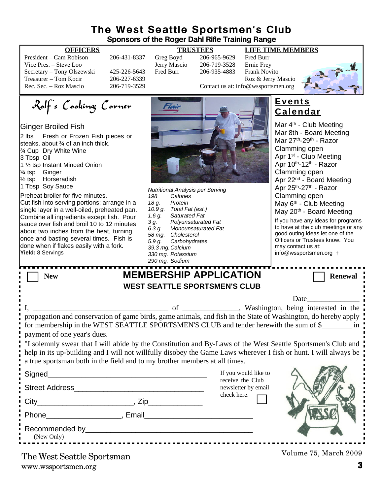# **The West Seattle Sportsmen's Club Sponsors of the Roger Dahl Rifle Training Range**

| President – Cam Robison    |
|----------------------------|
| Vice Pres. – Steve Loo     |
| Secretary - Tony Olszewski |
| Treasurer – Tom Kocir      |
| Rec. Sec. – Roz Mascio     |

Fhair

#### **OFFICERS TRUSTEES LIFE TIME MEMBERS**

**Events Calendar**

Mar 4<sup>th</sup> - Club Meeting

206-431-8337 Greg Boyd 206-965-9629 Fred Burr<br>Jerry Mascio 206-719-3528 Ernie Frey Vice Vice 206-719-3528 Ernie Frey<br>Fred Burr 206-935-4883 Frank Nov 425-226-5643 Fred Burr 206-935-4883 Frank Novito 206-227-6339<br>
Treasurer – Tom Kockey Roz & Jerry Mascio<br>
Contact us at: info@wssportsmen.org Contact us at: info@wssportsmen.org



Desired Meeting

Rolf's Cooking Corner

## Ginger Broiled Fish

| 2 lbs Fresh or Frozen Fish pieces or<br>steaks, about 3⁄4 of an inch thick.<br>3⁄4 Cup Dry White Wine<br>3 Tbsp Oil<br>1 1/2 tsp Instant Minced Onion<br>3⁄4 tsp Ginger<br>1/ <sub>2</sub> tsp Horseradish<br>1 Tbsp Soy Sauce<br>Preheat broiler for five minutes.<br>Cut fish into serving portions; arrange in a<br>single layer in a well-oiled, preheated pan.<br>Combine all ingredients except fish. Pour<br>sauce over fish and broil 10 to 12 minutes<br>about two inches from the heat, turning<br>once and basting several times. Fish is<br>done when if flakes easily with a fork.<br>Yield: 8 Servings | 198<br>18 g.<br>1.6 g.<br>3 g.<br>$6.\overline{3} g.$<br>5.9 g. | <b>Nutritional Analysis per Serving</b><br>Calories<br>Protein<br>10.9 g. Total Fat (est.)<br>Saturated Fat<br>Polyunsaturated Fat<br>Monounsaturated Fat<br>58 mg. Cholesterol<br>Carbohydrates<br>39.3 mg. Calcium<br>330 mg. Potassium<br>290 mg. Sodium |                                         | Mar our - Doard Meeting<br>Mar 27th-29th - Razor<br>Clamming open<br>Apr 1 <sup>st</sup> - Club Meeting<br>Apr 10th-12th - Razor<br>Clamming open<br>Apr 22 <sup>nd</sup> - Board Meeting<br>Apr 25th-27th - Razor<br>Clamming open<br>May 6 <sup>th</sup> - Club Meeting<br>May 20th - Board Meeting<br>If you have any ideas for programs<br>to have at the club meetings or any<br>good outing ideas let one of the<br>Officers or Trustees know. You<br>may contact us at:<br>info@wssportsmen.org † |  |
|----------------------------------------------------------------------------------------------------------------------------------------------------------------------------------------------------------------------------------------------------------------------------------------------------------------------------------------------------------------------------------------------------------------------------------------------------------------------------------------------------------------------------------------------------------------------------------------------------------------------|-----------------------------------------------------------------|-------------------------------------------------------------------------------------------------------------------------------------------------------------------------------------------------------------------------------------------------------------|-----------------------------------------|----------------------------------------------------------------------------------------------------------------------------------------------------------------------------------------------------------------------------------------------------------------------------------------------------------------------------------------------------------------------------------------------------------------------------------------------------------------------------------------------------------|--|
| <b>New</b><br>payment of one year's dues.<br>r<br>a true sportsman both in the field and to my brother members at all times.                                                                                                                                                                                                                                                                                                                                                                                                                                                                                         |                                                                 | <b>MEMBERSHIP APPLICATION</b><br><b>WEST SEATTLE SPORTSMEN'S CLUB</b>                                                                                                                                                                                       |                                         | <b>Renewal</b><br>Date<br>propagation and conservation of game birds, game animals, and fish in the State of Washington, do hereby apply<br>for membership in the WEST SEATTLE SPORTSMEN'S CLUB and tender herewith the sum of \$_________ in<br>"I solemnly swear that I will abide by the Constitution and By-Laws of the West Seattle Sportsmen's Club and<br>help in its up-building and I will not willfully disobey the Game Laws wherever I fish or hunt. I will always be                        |  |
|                                                                                                                                                                                                                                                                                                                                                                                                                                                                                                                                                                                                                      |                                                                 |                                                                                                                                                                                                                                                             | If you would like to                    |                                                                                                                                                                                                                                                                                                                                                                                                                                                                                                          |  |
|                                                                                                                                                                                                                                                                                                                                                                                                                                                                                                                                                                                                                      |                                                                 |                                                                                                                                                                                                                                                             | receive the Club<br>newsletter by email |                                                                                                                                                                                                                                                                                                                                                                                                                                                                                                          |  |
|                                                                                                                                                                                                                                                                                                                                                                                                                                                                                                                                                                                                                      |                                                                 |                                                                                                                                                                                                                                                             | check here.                             |                                                                                                                                                                                                                                                                                                                                                                                                                                                                                                          |  |
|                                                                                                                                                                                                                                                                                                                                                                                                                                                                                                                                                                                                                      |                                                                 |                                                                                                                                                                                                                                                             |                                         |                                                                                                                                                                                                                                                                                                                                                                                                                                                                                                          |  |
| (New Only)                                                                                                                                                                                                                                                                                                                                                                                                                                                                                                                                                                                                           |                                                                 |                                                                                                                                                                                                                                                             |                                         |                                                                                                                                                                                                                                                                                                                                                                                                                                                                                                          |  |
| The West Soottle Spertamen                                                                                                                                                                                                                                                                                                                                                                                                                                                                                                                                                                                           |                                                                 |                                                                                                                                                                                                                                                             |                                         | Volume 75, March 2009                                                                                                                                                                                                                                                                                                                                                                                                                                                                                    |  |

www.wssportsmen.org **3** The West Seattle Sportsman

 $\blacksquare$ - 4

п